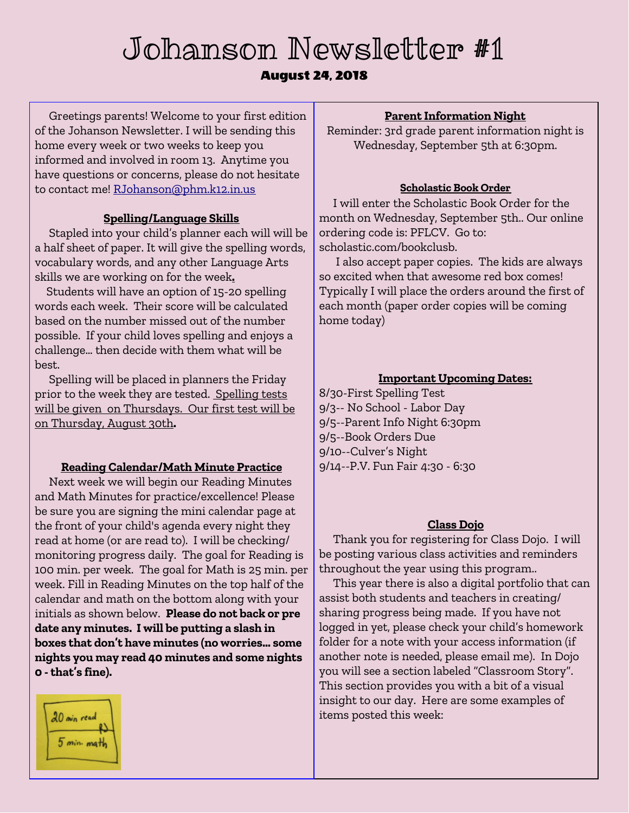# Johanson Newsletter #1

# August 24, 2018

Greetings parents! Welcome to your first edition of the Johanson Newsletter. I will be sending this home every week or two weeks to keep you informed and involved in room 13. Anytime you have questions or concerns, please do not hesitate to contact me! RJohanson@phm.k12.in.us

## **Spelling/Language Skills**

Stapled into your child's planner each will will be a half sheet of paper. It will give the spelling words, vocabulary words, and any other Language Arts skills we are working on for the week**.**

Students will have an option of 15-20 spelling words each week. Their score will be calculated based on the number missed out of the number possible. If your child loves spelling and enjoys a challenge… then decide with them what will be best.

Spelling will be placed in planners the Friday prior to the week they are tested. Spelling tests will be given on Thursdays. Our first test will be on Thursday, August 30th**.**

## **Reading Calendar/Math Minute Practice**

Next week we will begin our Reading Minutes and Math Minutes for practice/excellence! Please be sure you are signing the mini calendar page at the front of your child's agenda every night they read at home (or are read to). I will be checking/ monitoring progress daily. The goal for Reading is 100 min. per week. The goal for Math is 25 min. per week. Fill in Reading Minutes on the top half of the calendar and math on the bottom along with your initials as shown below. **Please do not back or pre date any minutes. I will be putting a slash in boxes that don't have minutes (no worries… some nights you may read 40 minutes and some nights 0 -that's fine).**



#### **Parent Information Night**

Reminder: 3rd grade parent information night is Wednesday, September 5th at 6:30pm.

#### **Scholastic Book Order**

I will enter the Scholastic Book Order for the month on Wednesday, September 5th.. Our online ordering code is: PFLCV. Go to: scholastic.com/bookclusb.

I also accept paper copies. The kids are always so excited when that awesome red box comes! Typically I will place the orders around the first of each month (paper order copies will be coming home today)

# **Important Upcoming Dates:**

8/30-First Spelling Test 9/3-- No School - Labor Day 9/5--Parent Info Night 6:30pm 9/5--Book Orders Due 9/10--Culver's Night 9/14--P.V. Fun Fair 4:30 - 6:30

#### **Class Dojo**

Thank you for registering for Class Dojo. I will be posting various class activities and reminders throughout the year using this program..

This year there is also a digital portfolio that can assist both students and teachers in creating/ sharing progress being made. If you have not logged in yet, please check your child's homework folder for a note with your access information (if another note is needed, please email me). In Dojo you will see a section labeled "Classroom Story". This section provides you with a bit of a visual insight to our day. Here are some examples of items posted this week: